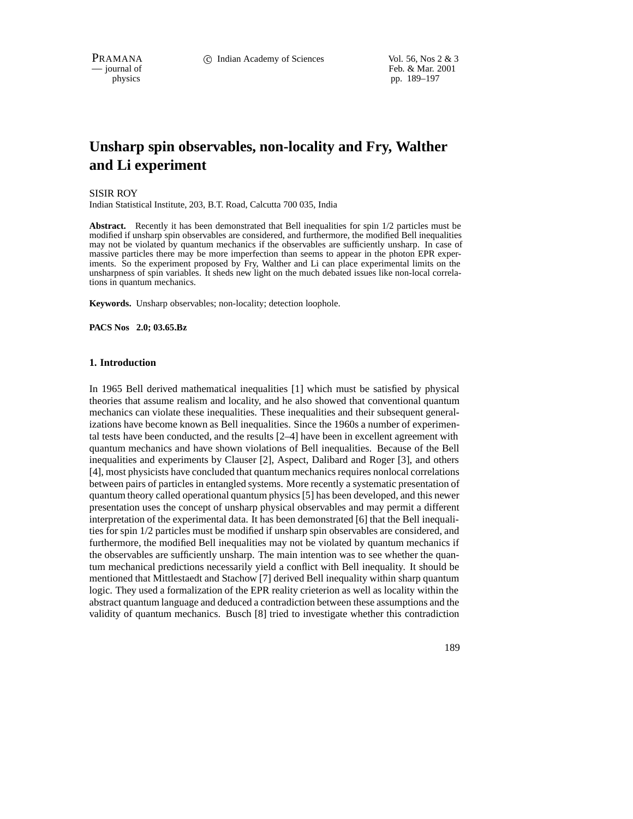PRAMANA 
<sup>c</sup> Indian Academy of Sciences Vol. 56, Nos 2 & 3<br>  $-$  journal of Feb. & Mar. 2001 Feb. & Mar. 2001 physics pp. 189–197

# **Unsharp spin observables, non-locality and Fry, Walther and Li experiment**

#### SISIR ROY

Indian Statistical Institute, 203, B.T. Road, Calcutta 700 035, India

Abstract. Recently it has been demonstrated that Bell inequalities for spin  $1/2$  particles must be modified if unsharp spin observables are considered, and furthermore, the modified Bell inequalities may not be violated by quantum mechanics if the observables are sufficiently unsharp. In case of massive particles there may be more imperfection than seems to appear in the photon EPR experiments. So the experiment proposed by Fry, Walther and Li can place experimental limits on the unsharpness of spin variables. It sheds new light on the much debated issues like non-local correlations in quantum mechanics.

**Keywords.** Unsharp observables; non-locality; detection loophole.

**PACS Nos 2.0; 03.65.Bz**

#### **1. Introduction**

In 1965 Bell derived mathematical inequalities [1] which must be satisfied by physical theories that assume realism and locality, and he also showed that conventional quantum mechanics can violate these inequalities. These inequalities and their subsequent generalizations have become known as Bell inequalities. Since the 1960s a number of experimental tests have been conducted, and the results [2–4] have been in excellent agreement with quantum mechanics and have shown violations of Bell inequalities. Because of the Bell inequalities and experiments by Clauser [2], Aspect, Dalibard and Roger [3], and others [4], most physicists have concluded that quantum mechanics requires nonlocal correlations between pairs of particles in entangled systems. More recently a systematic presentation of quantum theory called operational quantum physics [5] has been developed, and this newer presentation uses the concept of unsharp physical observables and may permit a different interpretation of the experimental data. It has been demonstrated [6] that the Bell inequalities for spin 1/2 particles must be modified if unsharp spin observables are considered, and furthermore, the modified Bell inequalities may not be violated by quantum mechanics if the observables are sufficiently unsharp. The main intention was to see whether the quantum mechanical predictions necessarily yield a conflict with Bell inequality. It should be mentioned that Mittlestaedt and Stachow [7] derived Bell inequality within sharp quantum logic. They used a formalization of the EPR reality crieterion as well as locality within the abstract quantum language and deduced a contradiction between these assumptions and the validity of quantum mechanics. Busch [8] tried to investigate whether this contradiction

189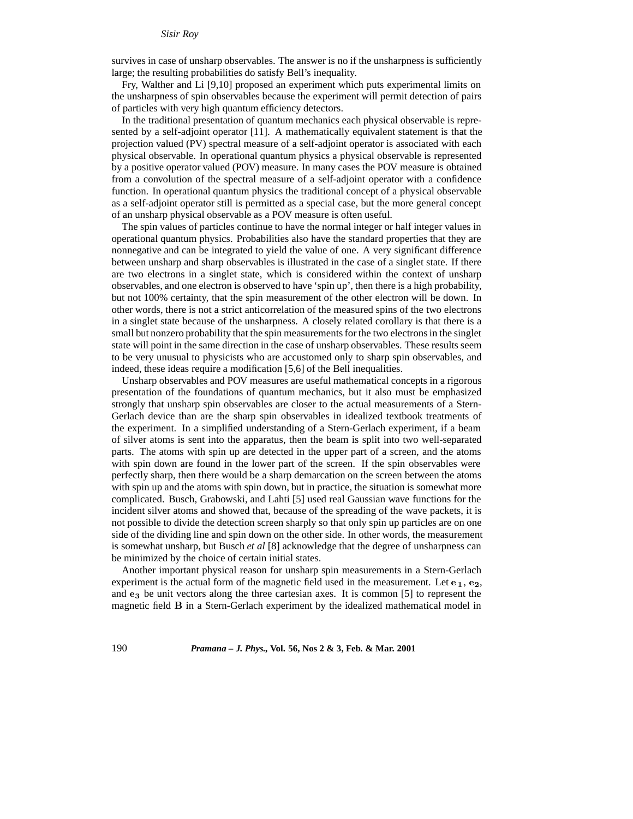survives in case of unsharp observables. The answer is no if the unsharpness is sufficiently large; the resulting probabilities do satisfy Bell's inequality.

Fry, Walther and Li [9,10] proposed an experiment which puts experimental limits on the unsharpness of spin observables because the experiment will permit detection of pairs of particles with very high quantum efficiency detectors.

In the traditional presentation of quantum mechanics each physical observable is represented by a self-adjoint operator [11]. A mathematically equivalent statement is that the projection valued (PV) spectral measure of a self-adjoint operator is associated with each physical observable. In operational quantum physics a physical observable is represented by a positive operator valued (POV) measure. In many cases the POV measure is obtained from a convolution of the spectral measure of a self-adjoint operator with a confidence function. In operational quantum physics the traditional concept of a physical observable as a self-adjoint operator still is permitted as a special case, but the more general concept of an unsharp physical observable as a POV measure is often useful.

The spin values of particles continue to have the normal integer or half integer values in operational quantum physics. Probabilities also have the standard properties that they are nonnegative and can be integrated to yield the value of one. A very significant difference between unsharp and sharp observables is illustrated in the case of a singlet state. If there are two electrons in a singlet state, which is considered within the context of unsharp observables, and one electron is observed to have 'spin up', then there is a high probability, but not 100% certainty, that the spin measurement of the other electron will be down. In other words, there is not a strict anticorrelation of the measured spins of the two electrons in a singlet state because of the unsharpness. A closely related corollary is that there is a small but nonzero probability that the spin measurements for the two electrons in the singlet state will point in the same direction in the case of unsharp observables. These results seem to be very unusual to physicists who are accustomed only to sharp spin observables, and indeed, these ideas require a modification [5,6] of the Bell inequalities.

Unsharp observables and POV measures are useful mathematical concepts in a rigorous presentation of the foundations of quantum mechanics, but it also must be emphasized strongly that unsharp spin observables are closer to the actual measurements of a Stern-Gerlach device than are the sharp spin observables in idealized textbook treatments of the experiment. In a simplified understanding of a Stern-Gerlach experiment, if a beam of silver atoms is sent into the apparatus, then the beam is split into two well-separated parts. The atoms with spin up are detected in the upper part of a screen, and the atoms with spin down are found in the lower part of the screen. If the spin observables were perfectly sharp, then there would be a sharp demarcation on the screen between the atoms with spin up and the atoms with spin down, but in practice, the situation is somewhat more complicated. Busch, Grabowski, and Lahti [5] used real Gaussian wave functions for the incident silver atoms and showed that, because of the spreading of the wave packets, it is not possible to divide the detection screen sharply so that only spin up particles are on one side of the dividing line and spin down on the other side. In other words, the measurement is somewhat unsharp, but Busch *et al* [8] acknowledge that the degree of unsharpness can be minimized by the choice of certain initial states.

Another important physical reason for unsharp spin measurements in a Stern-Gerlach experiment is the actual form of the magnetic field used in the measurement. Let  $e_1, e_2$ , and  $e_3$  be unit vectors along the three cartesian axes. It is common [5] to represent the magnetic field <sup>B</sup> in a Stern-Gerlach experiment by the idealized mathematical model in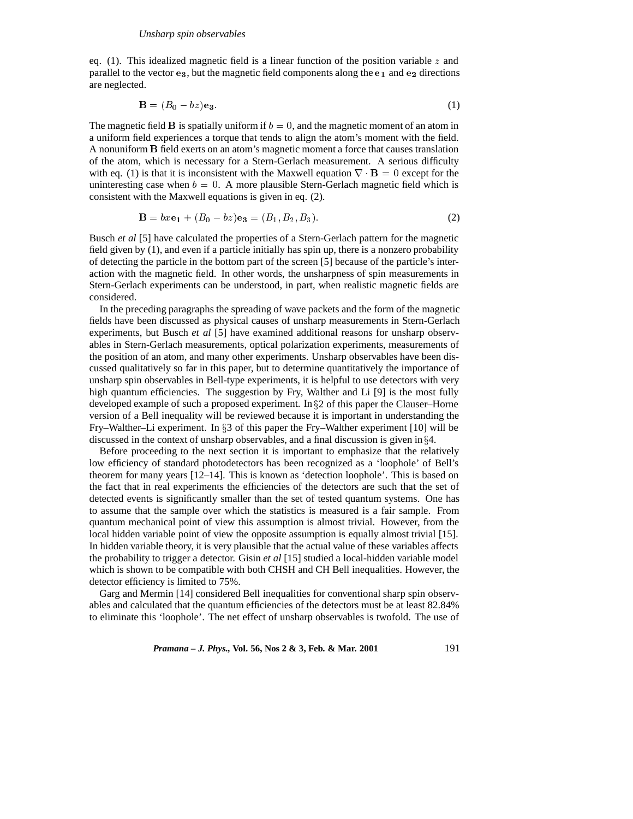eq. (1). This idealized magnetic field is a linear function of the position variable  $z$  and parallel to the vector  $e_3$ , but the magnetic field components along the  $e_1$  and  $e_2$  directions are neglected.

$$
\mathbf{B} = (B_0 - bz)\mathbf{e}_3. \tag{1}
$$

The magnetic field **B** is spatially uniform if  $b = 0$ , and the magnetic moment of an atom in a uniform field experiences a torque that tends to align the atom's moment with the field. A nonuniform <sup>B</sup> field exerts on an atom's magnetic moment a force that causes translation of the atom, which is necessary for a Stern-Gerlach measurement. A serious difficulty with eq. (1) is that it is inconsistent with the Maxwell equation  $\nabla \cdot \mathbf{B} = 0$  except for the uninteresting case when  $b = 0$ . A more plausible Stern-Gerlach magnetic field which is consistent with the Maxwell equations is given in eq. (2).

$$
\mathbf{B} = bx\mathbf{e}_1 + (B_0 - bz)\mathbf{e}_3 = (B_1, B_2, B_3). \tag{2}
$$

Busch *et al* [5] have calculated the properties of a Stern-Gerlach pattern for the magnetic field given by (1), and even if a particle initially has spin up, there is a nonzero probability of detecting the particle in the bottom part of the screen [5] because of the particle's interaction with the magnetic field. In other words, the unsharpness of spin measurements in Stern-Gerlach experiments can be understood, in part, when realistic magnetic fields are considered.

In the preceding paragraphs the spreading of wave packets and the form of the magnetic fields have been discussed as physical causes of unsharp measurements in Stern-Gerlach experiments, but Busch *et al* [5] have examined additional reasons for unsharp observables in Stern-Gerlach measurements, optical polarization experiments, measurements of the position of an atom, and many other experiments. Unsharp observables have been discussed qualitatively so far in this paper, but to determine quantitatively the importance of unsharp spin observables in Bell-type experiments, it is helpful to use detectors with very high quantum efficiencies. The suggestion by Fry, Walther and Li [9] is the most fully developed example of such a proposed experiment. In  $\S 2$  of this paper the Clauser–Horne version of a Bell inequality will be reviewed because it is important in understanding the Fry–Walther–Li experiment. In §3 of this paper the Fry–Walther experiment [10] will be discussed in the context of unsharp observables, and a final discussion is given in  $\S 4$ .

Before proceeding to the next section it is important to emphasize that the relatively low efficiency of standard photodetectors has been recognized as a 'loophole' of Bell's theorem for many years [12–14]. This is known as 'detection loophole'. This is based on the fact that in real experiments the efficiencies of the detectors are such that the set of detected events is significantly smaller than the set of tested quantum systems. One has to assume that the sample over which the statistics is measured is a fair sample. From quantum mechanical point of view this assumption is almost trivial. However, from the local hidden variable point of view the opposite assumption is equally almost trivial [15]. In hidden variable theory, it is very plausible that the actual value of these variables affects the probability to trigger a detector. Gisin *et al* [15] studied a local-hidden variable model which is shown to be compatible with both CHSH and CH Bell inequalities. However, the detector efficiency is limited to 75%.

Garg and Mermin [14] considered Bell inequalities for conventional sharp spin observables and calculated that the quantum efficiencies of the detectors must be at least 82.84% to eliminate this 'loophole'. The net effect of unsharp observables is twofold. The use of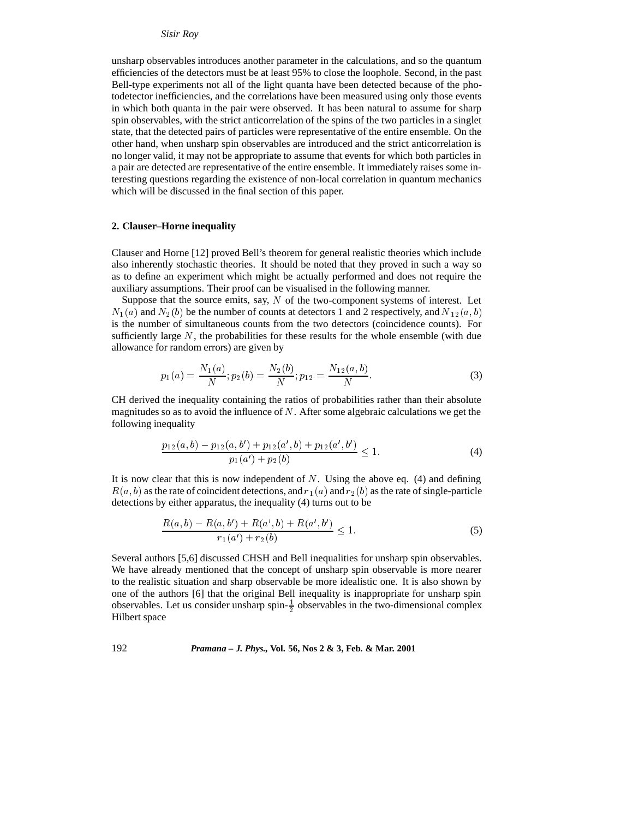#### *Sisir Roy*

unsharp observables introduces another parameter in the calculations, and so the quantum efficiencies of the detectors must be at least 95% to close the loophole. Second, in the past Bell-type experiments not all of the light quanta have been detected because of the photodetector inefficiencies, and the correlations have been measured using only those events in which both quanta in the pair were observed. It has been natural to assume for sharp spin observables, with the strict anticorrelation of the spins of the two particles in a singlet state, that the detected pairs of particles were representative of the entire ensemble. On the other hand, when unsharp spin observables are introduced and the strict anticorrelation is no longer valid, it may not be appropriate to assume that events for which both particles in a pair are detected are representative of the entire ensemble. It immediately raises some interesting questions regarding the existence of non-local correlation in quantum mechanics which will be discussed in the final section of this paper.

## **2. Clauser–Horne inequality**

Clauser and Horne [12] proved Bell's theorem for general realistic theories which include also inherently stochastic theories. It should be noted that they proved in such a way so as to define an experiment which might be actually performed and does not require the auxiliary assumptions. Their proof can be visualised in the following manner.

Suppose that the source emits, say,  $N$  of the two-component systems of interest. Let  $N_1(a)$  and  $N_2(b)$  be the number of counts at detectors 1 and 2 respectively, and  $N_{12}(a, b)$ is the number of simultaneous counts from the two detectors (coincidence counts). For sufficiently large  $N$ , the probabilities for these results for the whole ensemble (with due allowance for random errors) are given by

$$
p_1(a) = \frac{N_1(a)}{N}; p_2(b) = \frac{N_2(b)}{N}; p_{12} = \frac{N_{12}(a, b)}{N}.
$$
 (3)

CH derived the inequality containing the ratios of probabilities rather than their absolute magnitudes so as to avoid the influence of  $N$ . After some algebraic calculations we get the following inequality

$$
\frac{p_{12}(a,b) - p_{12}(a,b') + p_{12}(a',b) + p_{12}(a',b')}{p_1(a') + p_2(b)} \le 1.
$$
\n(4)

It is now clear that this is now independent of  $N$ . Using the above eq. (4) and defining  $R(a, b)$  as the rate of coincident detections, and  $r_1(a)$  and  $r_2(b)$  as the rate of single-particle detections by either apparatus, the inequality (4) turns out to be

$$
\frac{R(a,b) - R(a,b') + R(a',b) + R(a',b')}{r_1(a') + r_2(b)} \le 1.
$$
\n(5)

Several authors [5,6] discussed CHSH and Bell inequalities for unsharp spin observables. We have already mentioned that the concept of unsharp spin observable is more nearer to the realistic situation and sharp observable be more idealistic one. It is also shown by one of the authors [6] that the original Bell inequality is inappropriate for unsharp spin observables. Let us consider unsharp spin- $\frac{1}{2}$  observables in the two-dimensional complex Hilbert space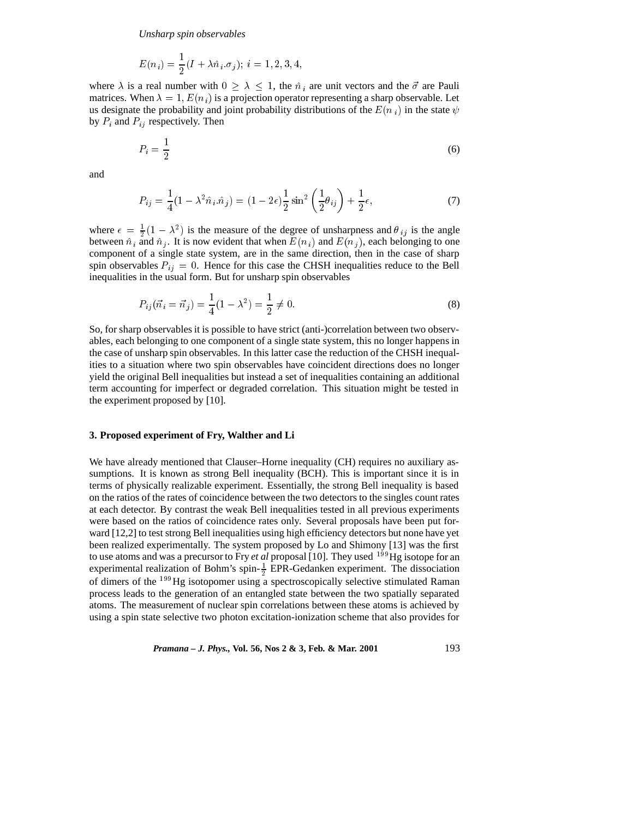*Unsharp spin observables*

$$
E(n_i) = \frac{1}{2}(I + \lambda \hat{n}_i.\sigma_j); i = 1, 2, 3, 4,
$$

where  $\lambda$  is a real number with  $0 > \lambda < 1$ , the  $\hat{n}_i$  are unit vectors and the  $\vec{\sigma}$  are Pauli matrices. When  $\lambda = 1$ ,  $E(n_i)$  is a projection operator representing a sharp observable. Let us designate the probability and joint probability distributions of the  $E(n_i)$  in the state  $\psi$ by  $P_i$  and  $P_{ij}$  respectively. Then

$$
P_i = \frac{1}{2} \tag{6}
$$

and

$$
P_{ij} = \frac{1}{4}(1 - \lambda^2 \hat{n}_i \cdot \hat{n}_j) = (1 - 2\epsilon)\frac{1}{2}\sin^2\left(\frac{1}{2}\theta_{ij}\right) + \frac{1}{2}\epsilon,\tag{7}
$$

where  $\epsilon = \frac{1}{2}(1 - \lambda^2)$  is the measure of the degree of unsharpness and  $\theta_{ij}$  is the angle between  $\hat{n}_i$  and  $\hat{n}_j$ . It is now evident that when  $E(n_i)$  and  $E(n_j)$ , each belonging to one component of a single state system, are in the same direction, then in the case of sharp spin observables  $P_{ij} = 0$ . Hence for this case the CHSH inequalities reduce to the Bell inequalities in the usual form. But for unsharp spin observables

$$
P_{ij}(\vec{n}_i = \vec{n}_j) = \frac{1}{4}(1 - \lambda^2) = \frac{1}{2} \neq 0.
$$
\n(8)

So, for sharp observables it is possible to have strict (anti-)correlation between two observables, each belonging to one component of a single state system, this no longer happens in the case of unsharp spin observables. In this latter case the reduction of the CHSH inequalities to a situation where two spin observables have coincident directions does no longer yield the original Bell inequalities but instead a set of inequalities containing an additional term accounting for imperfect or degraded correlation. This situation might be tested in the experiment proposed by [10].

#### **3. Proposed experiment of Fry, Walther and Li**

We have already mentioned that Clauser–Horne inequality (CH) requires no auxiliary assumptions. It is known as strong Bell inequality (BCH). This is important since it is in terms of physically realizable experiment. Essentially, the strong Bell inequality is based on the ratios of the rates of coincidence between the two detectors to the singles count rates at each detector. By contrast the weak Bell inequalities tested in all previous experiments were based on the ratios of coincidence rates only. Several proposals have been put forward [12,2] to test strong Bell inequalities using high efficiency detectors but none have yet been realized experimentally. The system proposed by Lo and Shimony [13] was the first to use atoms and was a precursor to Fry *et al* proposal [10]. They used <sup>199</sup>Hg isotope for an experimental realization of Bohm's spin- $\frac{1}{2}$  EPR-Gedanken experiment. The dissociation of dimers of the <sup>199</sup>Hg isotopomer using a spectroscopically selective stimulated Raman process leads to the generation of an entangled state between the two spatially separated atoms. The measurement of nuclear spin correlations between these atoms is achieved by using a spin state selective two photon excitation-ionization scheme that also provides for

*Pramana – J. Phys.,* **Vol. 56, Nos 2 & 3, Feb. & Mar. 2001** 193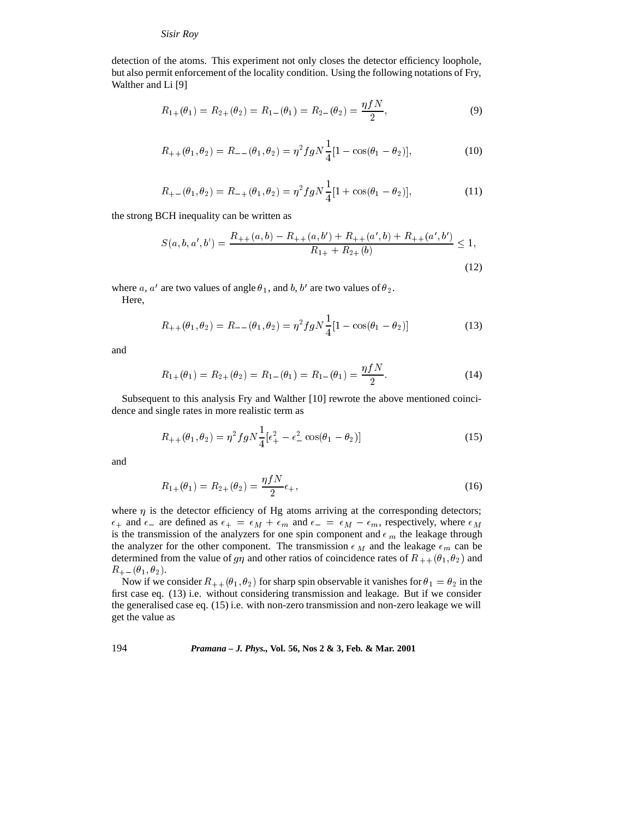### *Sisir Roy*

detection of the atoms. This experiment not only closes the detector efficiency loophole, but also permit enforcement of the locality condition. Using the following notations of Fry, Walther and Li [9]

$$
R_{1+}(\theta_1) = R_{2+}(\theta_2) = R_{1-}(\theta_1) = R_{2-}(\theta_2) = \frac{\eta f N}{2},
$$
\n(9)

$$
R_{++}(\theta_1, \theta_2) = R_{--}(\theta_1, \theta_2) = \eta^2 f g N \frac{1}{4} [1 - \cos(\theta_1 - \theta_2)],\tag{10}
$$

$$
R_{+-}(\theta_1, \theta_2) = R_{-+}(\theta_1, \theta_2) = \eta^2 f g N \frac{1}{4} [1 + \cos(\theta_1 - \theta_2)],\tag{11}
$$

the strong BCH inequality can be written as

$$
S(a, b, a', b') = \frac{R_{++}(a, b) - R_{++}(a, b') + R_{++}(a', b) + R_{++}(a', b')}{R_{1+} + R_{2+}(b)} \le 1,
$$
\n(12)

where a, a' are two values of angle  $\theta_1$ , and b, b' are two values of  $\theta_2$ .

Here,

$$
R_{++}(\theta_1, \theta_2) = R_{--}(\theta_1, \theta_2) = \eta^2 f g N \frac{1}{4} [1 - \cos(\theta_1 - \theta_2)]
$$
\n(13)

and

$$
R_{1+}(\theta_1) = R_{2+}(\theta_2) = R_{1-}(\theta_1) = R_{1-}(\theta_1) = \frac{\eta f N}{2}.
$$
\n(14)

Subsequent to this analysis Fry and Walther [10] rewrote the above mentioned coincidence and single rates in more realistic term as

$$
R_{++}(\theta_1, \theta_2) = \eta^2 f g N \frac{1}{4} [\epsilon_+^2 - \epsilon_-^2 \cos(\theta_1 - \theta_2)] \tag{15}
$$

and

$$
R_{1+}(\theta_1) = R_{2+}(\theta_2) = \frac{\eta f N}{2} \epsilon_+, \tag{16}
$$

where  $\eta$  is the detector efficiency of Hg atoms arriving at the corresponding detectors;  $\epsilon_+$  and  $\epsilon_-$  are defined as  $\epsilon_+ = \epsilon_M + \epsilon_m$  and  $\epsilon_- = \epsilon_M - \epsilon_m$ , respectively, where  $\epsilon_M$ is the transmission of the analyzers for one spin component and  $\epsilon_m$  the leakage through the analyzer for the other component. The transmission  $\epsilon_M$  and the leakage  $\epsilon_m$  can be determined from the value of  $g\eta$  and other ratios of coincidence rates of  $R_{++}(\theta_1, \theta_2)$  and  $R_{+-}(\theta_1, \theta_2).$ 

Now if we consider  $R_{++}(\theta_1, \theta_2)$  for sharp spin observable it vanishes for  $\theta_1 = \theta_2$  in the first case eq. (13) i.e. without considering transmission and leakage. But if we consider the generalised case eq. (15) i.e. with non-zero transmission and non-zero leakage we will get the value as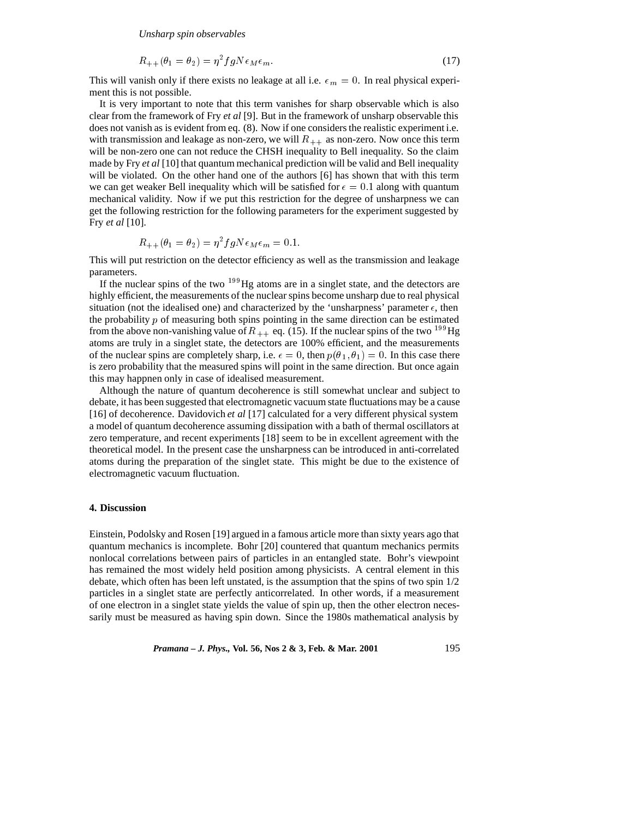*Unsharp spin observables*

$$
R_{++}(\theta_1 = \theta_2) = \eta^2 f g N \epsilon_M \epsilon_m. \tag{17}
$$

This will vanish only if there exists no leakage at all i.e.  $\epsilon_m = 0$ . In real physical experiment this is not possible.

It is very important to note that this term vanishes for sharp observable which is also clear from the framework of Fry *et al* [9]. But in the framework of unsharp observable this does not vanish as is evident from eq. (8). Now if one considers the realistic experiment i.e. with transmission and leakage as non-zero, we will  $R_{++}$  as non-zero. Now once this term will be non-zero one can not reduce the CHSH inequality to Bell inequality. So the claim made by Fry *et al* [10] that quantum mechanical prediction will be valid and Bell inequality will be violated. On the other hand one of the authors [6] has shown that with this term we can get weaker Bell inequality which will be satisfied for  $\epsilon = 0.1$  along with quantum mechanical validity. Now if we put this restriction for the degree of unsharpness we can get the following restriction for the following parameters for the experiment suggested by Fry *et al* [10].

$$
R_{++}(\theta_1 = \theta_2) = \eta^2 f g N \epsilon_M \epsilon_m = 0.1.
$$

This will put restriction on the detector efficiency as well as the transmission and leakage parameters.

If the nuclear spins of the two  $199$ Hg atoms are in a singlet state, and the detectors are highly efficient, the measurements of the nuclear spins become unsharp due to real physical situation (not the idealised one) and characterized by the 'unsharpness' parameter  $\epsilon$ , then the probability  $p$  of measuring both spins pointing in the same direction can be estimated from the above non-vanishing value of  $R_{++}$  eq. (15). If the nuclear spins of the two <sup>199</sup>Hg atoms are truly in a singlet state, the detectors are 100% efficient, and the measurements of the nuclear spins are completely sharp, i.e.  $\epsilon = 0$ , then  $p(\theta_1, \theta_1) = 0$ . In this case there is zero probability that the measured spins will point in the same direction. But once again this may happnen only in case of idealised measurement.

Although the nature of quantum decoherence is still somewhat unclear and subject to debate, it has been suggested that electromagnetic vacuum state fluctuations may be a cause [16] of decoherence. Davidovich *et al* [17] calculated for a very different physical system a model of quantum decoherence assuming dissipation with a bath of thermal oscillators at zero temperature, and recent experiments [18] seem to be in excellent agreement with the theoretical model. In the present case the unsharpness can be introduced in anti-correlated atoms during the preparation of the singlet state. This might be due to the existence of electromagnetic vacuum fluctuation.

# **4. Discussion**

Einstein, Podolsky and Rosen [19] argued in a famous article more than sixty years ago that quantum mechanics is incomplete. Bohr [20] countered that quantum mechanics permits nonlocal correlations between pairs of particles in an entangled state. Bohr's viewpoint has remained the most widely held position among physicists. A central element in this debate, which often has been left unstated, is the assumption that the spins of two spin 1/2 particles in a singlet state are perfectly anticorrelated. In other words, if a measurement of one electron in a singlet state yields the value of spin up, then the other electron necessarily must be measured as having spin down. Since the 1980s mathematical analysis by

*Pramana – J. Phys.,* **Vol. 56, Nos 2 & 3, Feb. & Mar. 2001** 195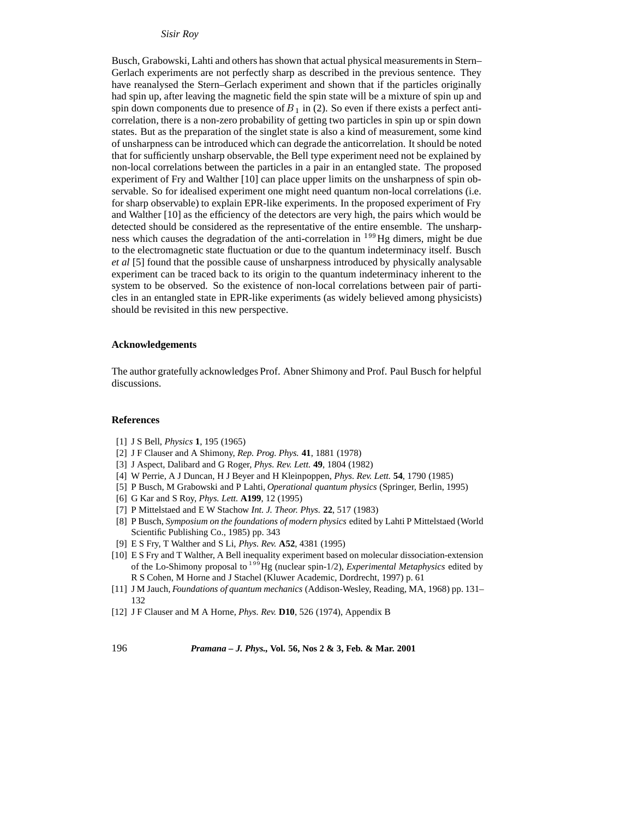*Sisir Roy*

Busch, Grabowski, Lahti and others has shown that actual physical measurements in Stern– Gerlach experiments are not perfectly sharp as described in the previous sentence. They have reanalysed the Stern–Gerlach experiment and shown that if the particles originally had spin up, after leaving the magnetic field the spin state will be a mixture of spin up and spin down components due to presence of  $B_1$  in (2). So even if there exists a perfect anticorrelation, there is a non-zero probability of getting two particles in spin up or spin down states. But as the preparation of the singlet state is also a kind of measurement, some kind of unsharpness can be introduced which can degrade the anticorrelation. It should be noted that for sufficiently unsharp observable, the Bell type experiment need not be explained by non-local correlations between the particles in a pair in an entangled state. The proposed experiment of Fry and Walther [10] can place upper limits on the unsharpness of spin observable. So for idealised experiment one might need quantum non-local correlations (i.e. for sharp observable) to explain EPR-like experiments. In the proposed experiment of Fry and Walther [10] as the efficiency of the detectors are very high, the pairs which would be detected should be considered as the representative of the entire ensemble. The unsharpness which causes the degradation of the anti-correlation in <sup>199</sup>Hg dimers, might be due to the electromagnetic state fluctuation or due to the quantum indeterminacy itself. Busch *et al* [5] found that the possible cause of unsharpness introduced by physically analysable experiment can be traced back to its origin to the quantum indeterminacy inherent to the system to be observed. So the existence of non-local correlations between pair of particles in an entangled state in EPR-like experiments (as widely believed among physicists) should be revisited in this new perspective.

#### **Acknowledgements**

The author gratefully acknowledges Prof. Abner Shimony and Prof. Paul Busch for helpful discussions.

#### **References**

- [1] J S Bell, *Physics* **1**, 195 (1965)
- [2] J F Clauser and A Shimony, *Rep. Prog. Phys.* **41**, 1881 (1978)
- [3] J Aspect, Dalibard and G Roger, *Phys. Rev. Lett.* **49**, 1804 (1982)
- [4] W Perrie, A J Duncan, H J Beyer and H Kleinpoppen, *Phys. Rev. Lett.* **54**, 1790 (1985)
- [5] P Busch, M Grabowski and P Lahti, *Operational quantum physics* (Springer, Berlin, 1995)
- [6] G Kar and S Roy, *Phys. Lett.* **A199**, 12 (1995)
- [7] P Mittelstaed and E W Stachow *Int. J. Theor. Phys.* **22**, 517 (1983)
- [8] P Busch, *Symposium on the foundations of modern physics* edited by Lahti P Mittelstaed (World Scientific Publishing Co., 1985) pp. 343
- [9] E S Fry, T Walther and S Li, *Phys. Rev.* **A52**, 4381 (1995)
- [10] E S Fry and T Walther, A Bell inequality experiment based on molecular dissociation-extension of the Lo-Shimony proposal to <sup>199</sup>Hg (nuclear spin-1/2), *Experimental Metaphysics* edited by R S Cohen, M Horne and J Stachel (Kluwer Academic, Dordrecht, 1997) p. 61
- [11] J M Jauch, *Foundations of quantum mechanics* (Addison-Wesley, Reading, MA, 1968) pp. 131– 132
- [12] J F Clauser and M A Horne, *Phys. Rev.* **D10**, 526 (1974), Appendix B